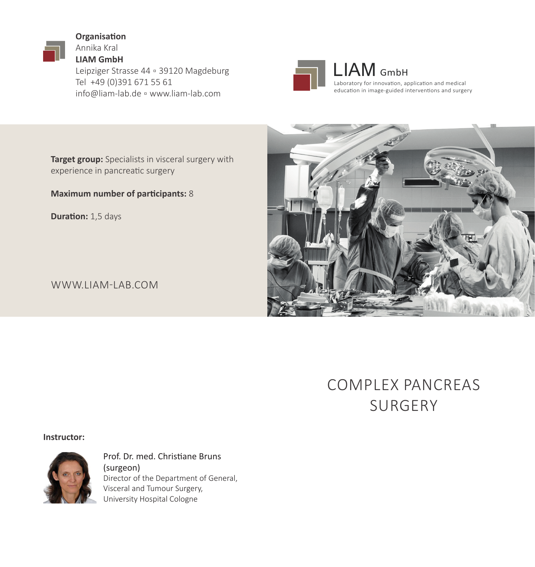**Organisation** Annika Kral **LIAM GmbH** Leipziger Strasse 44 ▫ 39120 Magdeburg Tel +49 (0)391 671 55 61 info@liam-lab.de ▫ www.liam-lab.com



LIAM GmbH Laboratory for innovation, application and medical education in image-guided interventions and surgery

**Target group:** Specialists in visceral surgery with experience in pancreatic surgery

**Maximum number of participants:** 8

**Duration:** 1,5 days

WWW.LIAM-LAB.COM

## COMPLEX PANCREAS SURGERY

### **Instructor:**



Prof. Dr. med. Christiane Bruns (surgeon) Director of the Department of General, Visceral and Tumour Surgery, University Hospital Cologne